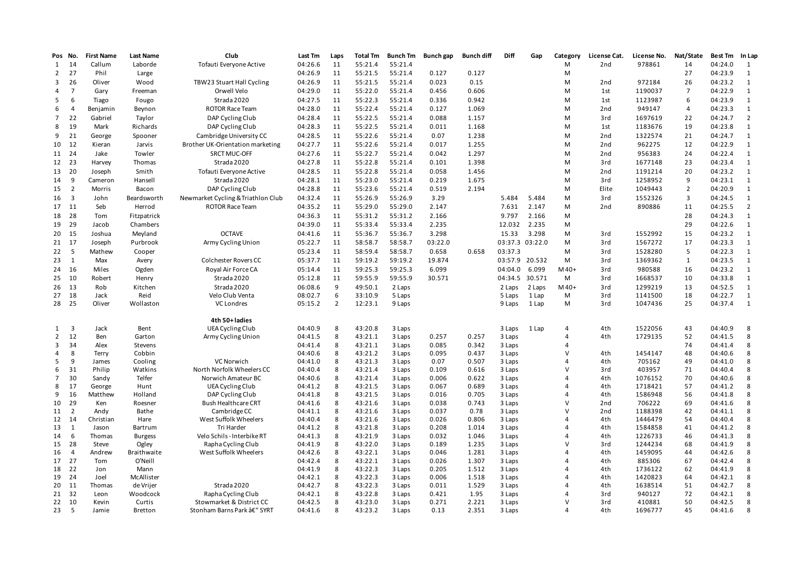| Pos No.             |                         | <b>First Name</b>  | <b>Last Name</b>   | Club                                                         | <b>Last Tm</b>     | Laps   | <b>Total Tm</b>    | <b>Bunch Tm</b>    | Bunch gap | <b>Bunch diff</b> | Diff             | Gap    | Category            | License Cat.           | License No.        | Nat/State      | Best Tm            | In Lap         |
|---------------------|-------------------------|--------------------|--------------------|--------------------------------------------------------------|--------------------|--------|--------------------|--------------------|-----------|-------------------|------------------|--------|---------------------|------------------------|--------------------|----------------|--------------------|----------------|
| 1                   | 14                      | Callum             | Laborde            | Tofauti Everyone Active                                      | 04:26.6            | 11     | 55:21.4            | 55:21.4            |           |                   |                  |        | M                   | 2 <sub>nd</sub>        | 978861             | 14             | 04:24.0            | 1              |
| $\mathbf{2}$        | 27                      | Phil               | Large              |                                                              | 04:26.9            | 11     | 55:21.5            | 55:21.4            | 0.127     | 0.127             |                  |        | M                   |                        |                    | 27             | 04:23.9            | $\mathbf{1}$   |
| 3                   | 26                      | Oliver             | Wood               | TBW23 Stuart Hall Cycling                                    | 04:26.9            | 11     | 55:21.5            | 55:21.4            | 0.023     | 0.15              |                  |        | M                   | 2nd                    | 972184             | 26             | 04:23.2            | 1              |
| 4                   | $\overline{7}$          | Gary               | Freeman            | Orwell Velo                                                  | 04:29.0            | 11     | 55:22.0            | 55:21.4            | 0.456     | 0.606             |                  |        | M                   | 1st                    | 1190037            | $\overline{7}$ | 04:22.9            | $\mathbf{1}$   |
| 5                   | 6                       | Tiago              | Fougo              | Strada 2020                                                  | 04:27.5            | 11     | 55:22.3            | 55:21.4            | 0.336     | 0.942             |                  |        | M                   | 1st                    | 1123987            | 6              | 04:23.9            | $\mathbf{1}$   |
| 6                   | $\overline{4}$          | Benjamin           | Beynon             | <b>ROTOR Race Team</b>                                       | 04:28.0            | 11     | 55:22.4            | 55:21.4            | 0.127     | 1.069             |                  |        | M                   | 2nd                    | 949147             | 4              | 04:23.3            | $\mathbf{1}$   |
| $\overline{7}$      | 22                      | Gabriel            | Taylor             | DAP Cycling Club                                             | 04:28.4            | 11     | 55:22.5            | 55:21.4            | 0.088     | 1.157             |                  |        | M                   | 3rd                    | 1697619            | 22             | 04:24.7            | $\overline{2}$ |
| 8                   | 19                      | Mark               | Richards           | DAP Cycling Club                                             | 04:28.3            | 11     | 55:22.5            | 55:21.4            | 0.011     | 1.168             |                  |        | M                   | 1st                    | 1183676            | 19             | 04:23.8            | $\mathbf{1}$   |
| 9                   | 21                      | George             | Spooner            | Cambridge University CC                                      | 04:28.5            | 11     | 55:22.6            | 55:21.4            | 0.07      | 1.238             |                  |        | M                   | 2 <sub>nd</sub>        | 1322574            | 21             | 04:24.7            | $\mathbf{1}$   |
| 10                  | 12                      | Kieran             | Jarvis             | Brother UK-Orientation marketing                             | 04:27.7            | 11     | 55:22.6            | 55:21.4            | 0.017     | 1.255             |                  |        | M                   | 2nd                    | 962275             | 12             | 04:22.9            | 1              |
| 11 24               |                         | Jake               | Towler             | <b>SRCT MUC-OFF</b>                                          | 04:27.6            | 11     | 55:22.7            | 55:21.4            | 0.042     | 1.297             |                  |        | M                   | 2 <sub>nd</sub>        | 956383             | 24             | 04:22.4            | $\mathbf{1}$   |
| 12 23               |                         | Harvey             | Thomas             | Strada 2020                                                  | 04:27.8            | 11     | 55:22.8            | 55:21.4            | 0.101     | 1.398             |                  |        | M                   | 3rd                    | 1677148            | 23             | 04:23.4            | 1              |
| 13                  | 20                      | Joseph             | Smith              | Tofauti Everyone Active                                      | 04:28.5            | 11     | 55:22.8            | 55:21.4            | 0.058     | 1.456             |                  |        | M                   | 2 <sub>nd</sub>        | 1191214            | 20             | 04:23.2            | 1              |
| 14                  | 9                       | Cameron            | Hansell            | Strada 2020                                                  | 04:28.1            | 11     | 55:23.0            | 55:21.4            | 0.219     | 1.675             |                  |        | M                   | 3rd                    | 1258952            | 9              | 04:23.1            | 1              |
| 15                  | $\overline{2}$          | Morris             | Bacon              | DAP Cycling Club                                             | 04:28.8            | 11     | 55:23.6            | 55:21.4            | 0.519     | 2.194             |                  |        | M                   | Elite                  | 1049443            | $\overline{2}$ | 04:20.9            | $\mathbf{1}$   |
|                     | $\overline{\mathbf{3}}$ |                    |                    |                                                              |                    | 11     |                    |                    | 3.29      |                   |                  |        |                     |                        | 1552326            | 3              |                    | $\mathbf{1}$   |
| 16                  |                         | John               | Beardsworth        | Newmarket Cycling & Triathlon Club<br><b>ROTOR Race Team</b> | 04:32.4            | 11     | 55:26.9            | 55:26.9<br>55:29.0 |           |                   | 5.484<br>7.631   | 5.484  | M                   | 3rd<br>2 <sub>nd</sub> | 890886             | 11             | 04:24.5<br>04:25.5 | $\overline{2}$ |
| 17 11               |                         | Seb                | Herrod             |                                                              | 04:35.2            |        | 55:29.0            |                    | 2.147     |                   |                  | 2.147  | M                   |                        |                    |                |                    |                |
| 18 28               |                         | Tom                | Fitzpatrick        |                                                              | 04:36.3            | 11     | 55:31.2            | 55:31.2            | 2.166     |                   | 9.797            | 2.166  | M                   |                        |                    | 28             | 04:24.3            | $\mathbf{1}$   |
| 19                  | 29                      | Jacob              | Chambers           |                                                              | 04:39.0            | 11     | 55:33.4            | 55:33.4            | 2.235     |                   | 12.032           | 2.235  | M                   |                        |                    | 29             | 04:22.6            | 1              |
| 20 15               |                         | Joshua             | Meyland            | <b>OCTAVE</b>                                                | 04:41.6            | 11     | 55:36.7            | 55:36.7            | 3.298     |                   | 15.33            | 3.298  | M                   | 3rd                    | 1552992            | 15             | 04:23.2            | 1              |
| 21 17               |                         | Joseph             | Purbrook           | Army Cycling Union                                           | 05:22.7            | 11     | 58:58.7            | 58:58.7            | 03:22.0   |                   | 03:37.3 03:22.0  |        | M                   | 3rd                    | 1567272            | 17             | 04:23.3            | $\mathbf{1}$   |
| 22                  | 5                       | Mathew             | Cooper             |                                                              | 05:23.4            | 11     | 58:59.4            | 58:58.7            | 0.658     | 0.658             | 03:37.3          |        | M                   | 3rd                    | 1528280            | 5              | 04:22.3            | $\mathbf{1}$   |
| 23                  | $\overline{1}$          | Max                | Avery              | Colchester Rovers CC                                         | 05:37.7            | 11     | 59:19.2            | 59:19.2            | 19.874    |                   | 03:57.9 20.532   |        | М                   | 3rd                    | 1369362            | $\mathbf{1}$   | 04:23.5            | $\mathbf{1}$   |
| 24                  | 16                      | Miles              | Ogden              | Royal Air Force CA                                           | 05:14.4            | 11     | 59:25.3            | 59:25.3            | 6.099     |                   | 04:04.0          | 6.099  | $M40+$              | 3rd                    | 980588             | 16             | 04:23.2            | $\mathbf{1}$   |
| 25 10               |                         | Robert             | Henry              | Strada 2020                                                  | 05:12.8            | 11     | 59:55.9            | 59:55.9            | 30.571    |                   | 04:34.5 30.571   |        | M                   | 3rd                    | 1668537            | 10             | 04:33.8            | 1              |
| 26 13               |                         | Rob                | Kitchen            | Strada 2020                                                  | 06:08.6            | 9      | 49:50.1            | 2 Laps             |           |                   | 2 Laps           | 2 Laps | M40+                | 3rd                    | 1299219            | 13             | 04:52.5            | 1              |
| 27                  | 18                      | Jack               | Reid               | Velo Club Venta                                              | 08:02.7            | 6      | 33:10.9            | 5 Laps             |           |                   | 5 Laps           | 1 Lap  | M                   | 3rd                    | 1141500            | 18             | 04:22.7            | $\mathbf{1}$   |
| 28 25               |                         | Oliver             | Wollaston          | <b>VC Londres</b>                                            | 05:15.2            | 2      | 12:23.1            | 9 Laps             |           |                   | 9 Laps           | 1 Lap  | M                   | 3rd                    | 1047436            | 25             | 04:37.4            | $\mathbf{1}$   |
|                     |                         |                    |                    |                                                              |                    |        |                    |                    |           |                   |                  |        |                     |                        |                    |                |                    |                |
|                     |                         |                    |                    | 4th 50+ladies                                                |                    |        |                    |                    |           |                   |                  |        |                     |                        |                    |                |                    |                |
| 1<br>$\overline{2}$ | 3<br>12                 | Jack<br><b>Ben</b> | Bent<br>Garton     | UEA Cycling Club<br>Army Cycling Union                       | 04:40.9<br>04:41.5 | 8<br>8 | 43:20.8<br>43:21.1 | 3 Laps<br>3 Laps   | 0.257     | 0.257             | 3 Laps<br>3 Laps | 1 Lap  | 4<br>$\overline{4}$ | 4th<br>4th             | 1522056<br>1729135 | 43<br>52       | 04:40.9<br>04:41.5 | 8<br>8         |
| 3                   | 34                      | Alex               | Stevens            |                                                              | 04:41.4            | 8      | 43:21.1            | 3 Laps             | 0.085     | 0.342             | 3 Laps           |        | $\overline{4}$      |                        |                    | 74             | 04:41.4            | 8              |
| 4                   | 8                       | Terry              | Cobbin             |                                                              | 04:40.6            | 8      | 43:21.2            | 3 Laps             | 0.095     | 0.437             | 3 Laps           |        | $\mathsf{V}$        | 4th                    | 1454147            | 48             | 04:40.6            | 8              |
| 5                   | 9                       | James              | Cooling            | VC Norwich                                                   | 04:41.0            | 8      | 43:21.3            | 3 Laps             | 0.07      | 0.507             | 3 Laps           |        | $\overline{a}$      | 4th                    | 705162             | 49             | 04:41.0            | 8              |
| 6                   | 31                      | Philip             | Watkins            | North Norfolk Wheelers CC                                    | 04:40.4            | 8      | 43:21.4            | 3 Laps             | 0.109     | 0.616             | 3 Laps           |        | $\vee$              | 3rd                    | 403957             | 71             | 04:40.4            | 8              |
| 7                   | 30                      | Sandy              | Telfer             | Norwich Amateur BC                                           | 04:40.6            | 8      | 43:21.4            | 3 Laps             | 0.006     | 0.622             | 3 Laps           |        | $\overline{4}$      | 4th                    | 1076152            | 70             | 04:40.6            | 8              |
| 8                   | 17                      | George             | Hunt               | UEA Cycling Club                                             | 04:41.2            | 8      | 43:21.5            | 3 Laps             | 0.067     | 0.689             | 3 Laps           |        | $\overline{4}$      | 4th                    | 1718421            | 57             | 04:41.2            | 8              |
| 9                   | 16                      | Matthew            | Holland            | DAP Cycling Club                                             | 04:41.8            | 8      | 43:21.5            | 3 Laps             | 0.016     | 0.705             | 3 Laps           |        | $\overline{4}$      | 4th                    | 1586948            | 56             | 04:41.8            | 8              |
| 10                  | 29                      | Ken                | Roesner            | <b>Bush Healthcare CRT</b>                                   | 04:41.6            | 8      | 43:21.6            | 3 Laps             | 0.038     | 0.743             | 3 Laps           |        | $\vee$              | 2 <sub>nd</sub>        | 706222             | 69             | 04:41.6            | 8              |
| 11                  | $\overline{2}$          | Andy               | Bathe              | Cambridge CC                                                 | 04:41.1            | 8      | 43:21.6            | 3 Laps             | 0.037     | 0.78              | 3 Laps           |        | $\vee$              | 2 <sub>nd</sub>        | 1188398            | 42             | 04:41.1            | 8              |
| 12 14               |                         | Christian          | Hare               | West Suffolk Wheelers                                        | 04:40.4            | 8      | 43:21.6            | 3 Laps             | 0.026     | 0.806             | 3 Laps           |        | $\overline{a}$      | 4th                    | 1446479            | 54             | 04:40.4            | 8              |
| 13                  | 1                       | Jason              | Bartrum            | Tri Harder                                                   | 04:41.2            | 8      | 43:21.8            | 3 Laps             | 0.208     | 1.014             | 3 Laps           |        | $\overline{4}$      | 4th                    | 1584858            | 41             | 04:41.2            | 8              |
| 14                  | 6                       | Thomas             | <b>Burgess</b>     | Velo Schils - Interbike RT                                   | 04:41.3            | 8      | 43:21.9            | 3 Laps             | 0.032     | 1.046             | 3 Laps           |        | $\overline{a}$      | 4th                    | 1226733            | 46             | 04:41.3            | 8              |
| 15                  | 28                      | Steve              | Ogley              | Rapha Cycling Club                                           | 04:41.9            | 8      | 43:22.0            | 3 Laps             | 0.189     | 1.235             | 3 Laps           |        | $\vee$              | 3rd                    | 1244234            | 68             | 04:41.9            | 8              |
| 16                  | $\overline{4}$          | Andrew             | <b>Braithwaite</b> | West Suffolk Wheelers                                        | 04:42.6            | 8      | 43:22.1            | 3 Laps             | 0.046     | 1.281             | 3 Laps           |        | $\overline{4}$      | 4th                    | 1459095            | 44             | 04:42.6            | 8              |
| 17                  | 27                      | Tom                | O'Neill            |                                                              | 04:42.4            | 8      | 43:22.1            | 3 Laps             | 0.026     | 1.307             | 3 Laps           |        | $\overline{a}$      | 4th                    | 885306             | 67             | 04:42.4            | 8              |
| 18 22               |                         | Jon                | Mann               |                                                              | 04:41.9            | 8      | 43:22.3            | 3 Laps             | 0.205     | 1.512             | 3 Laps           |        | $\overline{4}$      | 4th                    | 1736122            | 62             | 04:41.9            | 8              |
| 19                  | 24                      | Joel               | McAllister         |                                                              | 04:42.1            | 8      | 43:22.3            | 3 Laps             | 0.006     | 1.518             | 3 Laps           |        | $\overline{a}$      | 4th                    | 1420823            | 64             | 04:42.1            | 8              |
| 20                  | -11                     | Thomas             | de Vrijer          | Strada 2020                                                  | 04:42.7            | 8      | 43:22.3            | 3 Laps             | 0.011     | 1.529             | 3 Laps           |        | $\overline{4}$      | 4th                    | 1638514            | 51             | 04:42.7            | 8              |
| 21 32               |                         | Leon               | Woodcock           | Rapha Cycling Club                                           | 04:42.1            | 8      | 43:22.8            | 3 Laps             | 0.421     | 1.95              | 3 Laps           |        | $\overline{a}$      | 3rd                    | 940127             | 72             | 04:42.1            | 8              |
| 22                  | 10                      | Kevin              | Curtis             | Stowmarket & District CC                                     | 04:42.5            | 8      | 43:23.0            | 3 Laps             | 0.271     | 2.221             | 3 Laps           |        | $\vee$              | 3rd                    | 410881             | 50             | 04:42.5            | 8              |
| 23                  | 5                       | Jamie              | Bretton            | Stonham Barns Park â€" SYRT                                  | 04:41.6            | 8      | 43:23.2            | 3 Laps             | 0.13      | 2.351             | 3 Laps           |        | $\overline{4}$      | 4th                    | 1696777            | 45             | 04:41.6            | 8              |